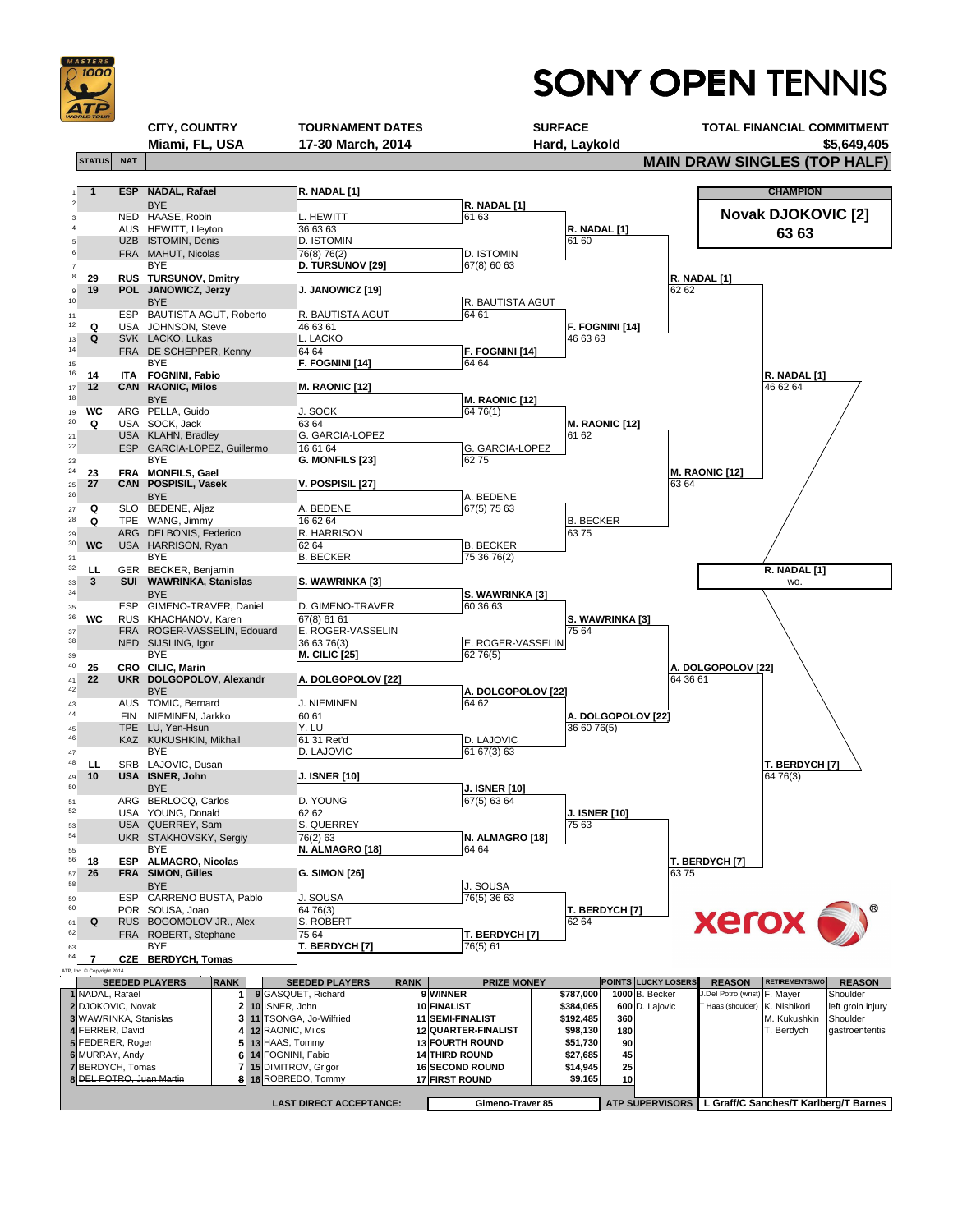

## **SONY OPEN TENNIS**

## **CITY, COUNTRY TOURNAMENT DATES SURFACE TOTAL FINANCIAL COMMITMENT Miami, FL, USA 17-30 March, 2014 Hard, Laykold \$5,649,405**

**STATUS** NAT NAT  $\blacksquare$  **MAIN DRAW SINGLES (TOP HALF)** 

1 **ESP NADAL, Rafael R. NADAL** [1] <sup>2</sup> **R. NADAL [1]** 3 NED HAASE, Robin L. HEWITT 61 63 4 AUS HEWITT, Lleyton 36 63 63 63<br>5 UZB ISTOMIN, Denis D. ISTOMIN D. ISTOMIN 5 UZB ISTOMIN, Denis D. ISTOMIN 61 60 <sup>6</sup> FRA 76(8) 76(2) D. ISTOMIN MAHUT, Nicolas <sup>7</sup> 67(8) 60 63 BYE **D. TURSUNOV [29]** <sup>8</sup> **29 RUS R. NADAL [1] TURSUNOV, Dmitry** <sup>9</sup> **19 POL J. JANOWICZ [19]** 62 62 **JANOWICZ, Jerzy** 10 BYE BYE <sup>11</sup> ESP 64 61 BAUTISTA AGUT, Roberto R. BAUTISTA AGUT <sup>12</sup> **Q** USA JOHNSON, Steve  $\begin{bmatrix} 46\ 63\ 61 \end{bmatrix}$  **E. FOGNINI [14]** 13 **Q** SVK LACKO, Lukas L. LACKO 46 63 63 <sup>14</sup>
FRA DE SCHEPPER, Kenny
64 64 **F. FOGNINI [14]** 15 **BYE BYE F. FOGNINI [14]** 64 64 <sup>16</sup> **14 ITA R. NADAL [1] FOGNINI, Fabio** <sup>17</sup> **12 CAN M. RAONIC [12]** 46 62 64 **RAONIC, Milos** <sup>18</sup> BYE BYE 19 **WC** ARG PELLA, Guido  $\vert$ J. SOCK  $\vert$ 64 76(1) <sup>20</sup> **Q** USA 63 64 **M. RAONIC [12]** SOCK, Jack <sub>21</sub> USA KLAHN, Bradley G. GARCIA-LOPEZ 6162 <sup>22</sup> ESP GARCIA-LOPEZ, Guillermo 16 61 64 G. GARCIA-LOPEZ <sup>23</sup> 62 75 BYE **G. MONFILS [23]** <sup>24</sup> **23 FRA M. RAONIC [12] MONFILS, Gael** <sup>25</sup> **27 CAN V. POSPISIL [27]** 63 64 **POSPISIL, Vasek** <sup>26</sup> A. BEDENE <sup>27</sup> **Q** SLO 67(5) 75 63 BEDENE, Aljaz A. BEDENE <sup>28</sup> **Q** TPE WANG, Jimmy 16 62 64 B. BECKER <sup>29</sup> ARG R. HARRISON 63 75 DELBONIS, Federico <sup>30</sup> WC USA HARRISON, Ryan 62 64 **B. BECKER** 31 BYE BYE RECKER 25 36 76(2) <sup>32</sup> **LL** GER BECKER, Benjamin **R. NADAL [1]** <sup>33</sup> **3 SUI S. WAWRINKA [3] WAWRINKA, Stanislas** wo. <sup>34</sup> **S. WAWRINKA [3] S. WAWRINKA [3]** <sup>35</sup> ESP 60 36 63 GIMENO-TRAVER, Daniel D. GIMENO-TRAVER <sup>36</sup> **WC** RUS 67(8) 61 61 **S. WAWRINKA [3]** KHACHANOV, Karen <sup>37</sup> FRA E. ROGER-VASSELIN 75 64 ROGER-VASSELIN, Edouard 38 NED SIJSLING, Igor 36 63 76(3) B. ROGER-VASSELIN <sup>39</sup> 62 76(5) BYE **M. CILIC [25]** <sup>40</sup> **25 CRO A. DOLGOPOLOV [22]** <sup>41</sup> **22 UKR A. DOLGOPOLOV [22]** 64 36 61 **DOLGOPOLOV, Alexandr** 42 BYE BYE **BYE** BYE **A. DOLGOPOLOV [22]**<br>43 AUS TOMIC, Bernard J. NIEMINEN 64 62 <sup>43</sup> AUS 64 62 TOMIC, Bernard J. NIEMINEN <sup>44</sup> FIN 60 61 **A. DOLGOPOLOV [22]** NIEMINEN, Jarkko <sup>45</sup> TPE Y. LU 36 60 76(5) LU, Yen-Hsun **NADAL, Rafael CHAMPION BYE Novak DJOKOVIC [2]** HEWITT, Lleyton **63 63** ISTOMIN, Denis **BYE** BYE BYE BYE NED SIJSLING, Igor **CILIC, Marin BYE** 

| 46                       |                              |                                                       | KAZ KUKUSHKIN, Mikhail   |                    |                       | 61 31 Ret'd                                      |                        | D. LAJOVIC              |                        |                            |      |                                       |                       |                   |
|--------------------------|------------------------------|-------------------------------------------------------|--------------------------|--------------------|-----------------------|--------------------------------------------------|------------------------|-------------------------|------------------------|----------------------------|------|---------------------------------------|-----------------------|-------------------|
| 47                       |                              |                                                       | <b>BYE</b>               |                    |                       | D. LAJOVIC                                       |                        | 61 67(3) 63             |                        |                            |      |                                       |                       |                   |
| 48                       | LL                           |                                                       | SRB LAJOVIC, Dusan       |                    |                       |                                                  |                        |                         |                        |                            |      |                                       | <b>T. BERDYCH [7]</b> |                   |
| 49                       | 10<br><b>USA ISNER, John</b> |                                                       |                          |                    |                       | <b>J. ISNER [10]</b>                             |                        |                         |                        |                            |      |                                       | 64 76(3)              |                   |
| 50                       |                              |                                                       | <b>BYE</b>               |                    |                       |                                                  |                        | <b>J. ISNER [10]</b>    |                        |                            |      |                                       |                       |                   |
| 51                       |                              |                                                       | ARG BERLOCQ, Carlos      |                    |                       | D. YOUNG                                         |                        | 67(5) 63 64             |                        |                            |      |                                       |                       |                   |
| 52                       |                              |                                                       | USA YOUNG, Donald        |                    |                       | 62 62                                            |                        |                         |                        | <b>J. ISNER [10]</b>       |      |                                       |                       |                   |
| 53                       |                              |                                                       | USA QUERREY, Sam         |                    |                       | <b>S. QUERREY</b>                                |                        |                         | 75 63                  |                            |      |                                       |                       |                   |
| 54                       |                              |                                                       | UKR STAKHOVSKY, Sergiy   |                    |                       | 76(2) 63                                         |                        | N. ALMAGRO [18]         |                        |                            |      |                                       |                       |                   |
| 55                       |                              |                                                       | <b>BYE</b>               |                    |                       | N. ALMAGRO [18]                                  |                        | 64 64                   |                        |                            |      |                                       |                       |                   |
| 56                       | 18                           | <b>ESP</b>                                            | <b>ALMAGRO, Nicolas</b>  |                    |                       |                                                  |                        |                         |                        |                            |      | T. BERDYCH [7]                        |                       |                   |
| 57<br>58                 | 26                           |                                                       | <b>FRA SIMON, Gilles</b> |                    |                       | <b>G. SIMON [26]</b>                             |                        |                         |                        |                            | 6375 |                                       |                       |                   |
|                          |                              |                                                       | <b>BYE</b>               |                    |                       |                                                  |                        | J. SOUSA                |                        |                            |      |                                       |                       |                   |
| 59<br>60                 |                              | <b>CARRENO BUSTA, Pablo</b><br>J. SOUSA<br><b>ESP</b> |                          |                    |                       |                                                  |                        | 76(5) 36 63             |                        |                            |      |                                       |                       |                   |
|                          |                              |                                                       | POR SOUSA, Joao          |                    |                       | 64 76(3)<br>T. BERDYCH [7]<br>S. ROBERT<br>62 64 |                        |                         |                        |                            |      |                                       |                       |                   |
| 61<br>62                 |                              | RUS BOGOMOLOV JR., Alex<br>Q                          |                          |                    |                       | <b>xerox</b><br>75 64<br>T. BERDYCH [7]          |                        |                         |                        |                            |      |                                       |                       |                   |
|                          |                              | FRA ROBERT, Stephane<br><b>BYE</b>                    |                          |                    |                       | T. BERDYCH [7]<br>76(5) 61                       |                        |                         |                        |                            |      |                                       |                       |                   |
| 63<br>64                 | 7                            | <b>CZE</b>                                            | <b>BERDYCH, Tomas</b>    |                    |                       |                                                  |                        |                         |                        |                            |      |                                       |                       |                   |
|                          | ATP, Inc. © Copyright 2014   |                                                       |                          |                    |                       |                                                  |                        |                         |                        |                            |      |                                       |                       |                   |
|                          |                              |                                                       | <b>SEEDED PLAYERS</b>    | <b>RANK</b>        |                       | <b>SEEDED PLAYERS</b>                            | <b>RANK</b>            | <b>PRIZE MONEY</b>      |                        | <b>POINTS LUCKY LOSERS</b> |      | <b>REASON</b>                         | <b>RETIREMENTS/WO</b> | <b>REASON</b>     |
|                          |                              | 1 NADAL, Rafael                                       |                          |                    |                       | 9 GASQUET, Richard                               |                        | <b>9WINNER</b>          | \$787,000              | $1000$ B. Becker           |      | J.Del Potro (wrist) F. Mayer          |                       | Shoulder          |
| 2 DJOKOVIC, Novak        |                              |                                                       |                          |                    | 10 ISNER, John        |                                                  |                        | 10 FINALIST             | \$384,065              | 600 D. Lajovic             |      | T Haas (shoulder)                     | K. Nishikori          | left groin injury |
| 3 WAWRINKA, Stanislas    |                              |                                                       |                          |                    |                       | 3 11 TSONGA, Jo-Wilfried                         |                        | 11 SEMI-FINALIST        | \$192,485              | 360                        |      |                                       | M. Kukushkin          | Shoulder          |
| 4 FERRER, David          |                              |                                                       |                          | 12 RAONIC, Milos   |                       |                                                  | 12 QUARTER-FINALIST    | \$98,130                | 180                    |                            |      | T. Berdych                            | gastroenteritis       |                   |
| 5 FEDERER, Roger         |                              |                                                       |                          | $5$ 13 HAAS, Tommy |                       |                                                  | <b>13 FOURTH ROUND</b> | \$51,730                | 90                     |                            |      |                                       |                       |                   |
| 6 MURRAY, Andy           |                              |                                                       |                          |                    | 6 14 FOGNINI, Fabio   |                                                  | <b>14 THIRD ROUND</b>  | \$27,685                | 45                     |                            |      |                                       |                       |                   |
| 7 BERDYCH, Tomas         |                              |                                                       |                          |                    | 7 15 DIMITROV, Grigor |                                                  | <b>16 SECOND ROUND</b> | \$14,945                | 25                     |                            |      |                                       |                       |                   |
| 8 DEL POTRO, Juan Martin |                              |                                                       |                          |                    |                       | 8 16 ROBREDO, Tommy                              |                        | <b>17 FIRST ROUND</b>   | \$9,165                | 10                         |      |                                       |                       |                   |
|                          |                              |                                                       |                          |                    |                       |                                                  |                        |                         |                        |                            |      |                                       |                       |                   |
|                          |                              |                                                       |                          |                    |                       | <b>LAST DIRECT ACCEPTANCE:</b>                   |                        | <b>Gimeno-Traver 85</b> | <b>ATP SUPERVISORS</b> |                            |      | L Graff/C Sanches/T Karlberg/T Barnes |                       |                   |